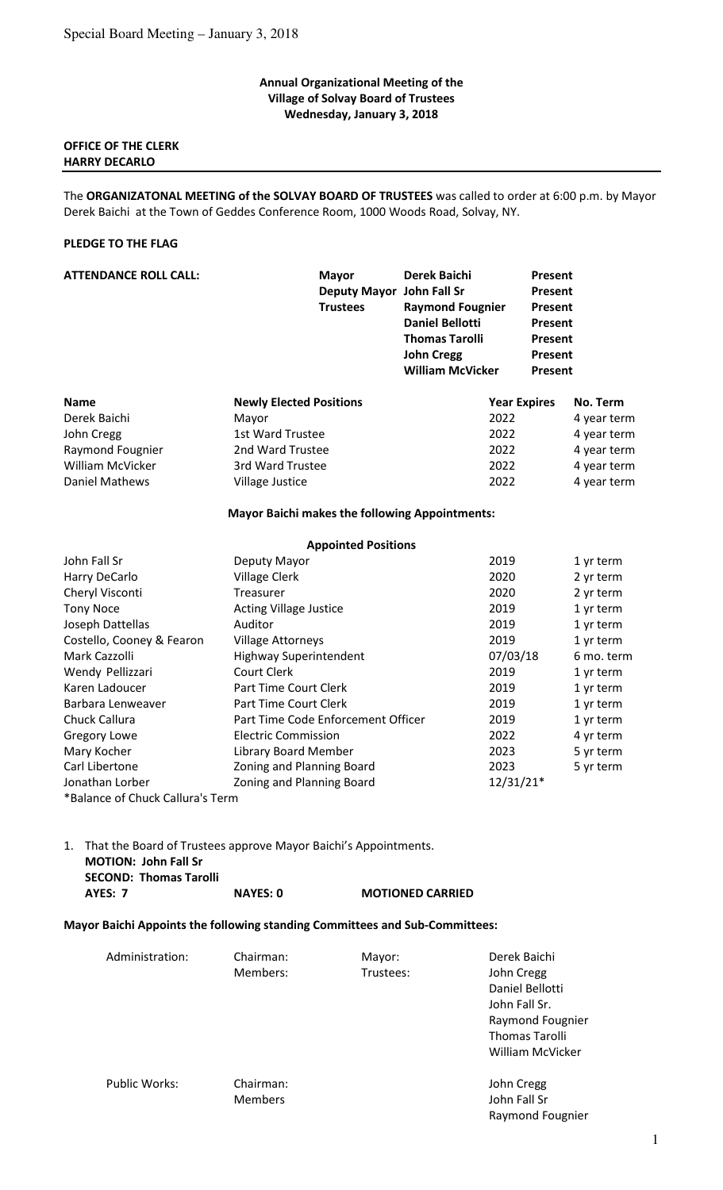#### **Annual Organizational Meeting of the Village of Solvay Board of Trustees Wednesday, January 3, 2018**

## **OFFICE OF THE CLERK HARRY DECARLO**

The **ORGANIZATONAL MEETING of the SOLVAY BOARD OF TRUSTEES** was called to order at 6:00 p.m. by Mayor Derek Baichi at the Town of Geddes Conference Room, 1000 Woods Road, Solvay, NY.

## **PLEDGE TO THE FLAG**

| <b>ATTENDANCE ROLL CALL:</b> | <b>Mayor</b><br>Deputy Mayor John Fall Sr<br><b>Trustees</b> | <b>Derek Baichi</b><br><b>Raymond Fougnier</b><br><b>Daniel Bellotti</b><br><b>Thomas Tarolli</b><br><b>John Cregg</b><br><b>William McVicker</b> | <b>Present</b><br>Present<br>Present<br>Present<br>Present<br><b>Present</b><br>Present |
|------------------------------|--------------------------------------------------------------|---------------------------------------------------------------------------------------------------------------------------------------------------|-----------------------------------------------------------------------------------------|
| <b>Name</b>                  | <b>Newly Elected Positions</b>                               |                                                                                                                                                   | No. Term<br><b>Year Expires</b>                                                         |
| Derek Baichi                 | Mayor                                                        | 2022                                                                                                                                              | 4 year term                                                                             |
| John Cregg                   | 1st Ward Trustee                                             | 2022                                                                                                                                              | 4 year term                                                                             |
| Raymond Fougnier             | 2nd Ward Trustee                                             | 2022                                                                                                                                              | 4 year term                                                                             |
| <b>William McVicker</b>      | 3rd Ward Trustee                                             | 2022                                                                                                                                              | 4 year term                                                                             |
| <b>Daniel Mathews</b>        | Village Justice                                              | 2022                                                                                                                                              | 4 year term                                                                             |
|                              | <b>Mayor Baichi makes the following Appointments:</b>        |                                                                                                                                                   |                                                                                         |
|                              | <b>Appointed Positions</b>                                   |                                                                                                                                                   |                                                                                         |
| John Fall Sr                 | Deputy Mayor                                                 | 2019                                                                                                                                              | 1 yr term                                                                               |
| Harry DeCarlo                | <b>Village Clerk</b>                                         | 2020                                                                                                                                              | 2 yr term                                                                               |
| Cheryl Visconti              | Treasurer                                                    | 2020                                                                                                                                              | 2 yr term                                                                               |
| <b>Tony Noce</b>             | <b>Acting Village Justice</b>                                | 2019                                                                                                                                              | 1 yr term                                                                               |
| Joseph Dattellas             | Auditor                                                      | 2019                                                                                                                                              | 1 yr term                                                                               |
| Costello, Cooney & Fearon    | <b>Village Attorneys</b>                                     | 2019                                                                                                                                              | 1 yr term                                                                               |
| Mark Cazzolli                | <b>Highway Superintendent</b>                                | 07/03/18                                                                                                                                          | 6 mo. term                                                                              |
| Wendy Pellizzari             | <b>Court Clerk</b>                                           | 2019                                                                                                                                              | 1 yr term                                                                               |
| Karen Ladoucer               | Part Time Court Clerk                                        | 2019                                                                                                                                              | 1 yr term                                                                               |
| Barbara Lenweaver            | Part Time Court Clerk                                        | 2019                                                                                                                                              | 1 yr term                                                                               |
| Chuck Callura                | Part Time Code Enforcement Officer                           | 2019                                                                                                                                              | 1 yr term                                                                               |
| <b>Gregory Lowe</b>          | <b>Electric Commission</b>                                   | 2022                                                                                                                                              | 4 yr term                                                                               |
| Mary Kocher                  | Library Board Member                                         | 2023                                                                                                                                              | 5 yr term                                                                               |
| Carl Libertone               | Zoning and Planning Board                                    | 2023                                                                                                                                              | 5 yr term                                                                               |
| Jonathan Lorber              | Zoning and Planning Board                                    | $12/31/21*$                                                                                                                                       |                                                                                         |

\*Balance of Chuck Callura's Term

1. That the Board of Trustees approve Mayor Baichi's Appointments.  **MOTION: John Fall Sr SECOND: Thomas Tarolli AYES: 7 NAYES: 0 MOTIONED CARRIED** 

### **Mayor Baichi Appoints the following standing Committees and Sub-Committees:**

| Administration: | Chairman:<br>Members:       | Mayor:<br>Trustees: | Derek Baichi<br>John Cregg<br>Daniel Bellotti<br>John Fall Sr.<br>Raymond Fougnier<br><b>Thomas Tarolli</b><br>William McVicker |
|-----------------|-----------------------------|---------------------|---------------------------------------------------------------------------------------------------------------------------------|
| Public Works:   | Chairman:<br><b>Members</b> |                     | John Cregg<br>John Fall Sr<br>Raymond Fougnier                                                                                  |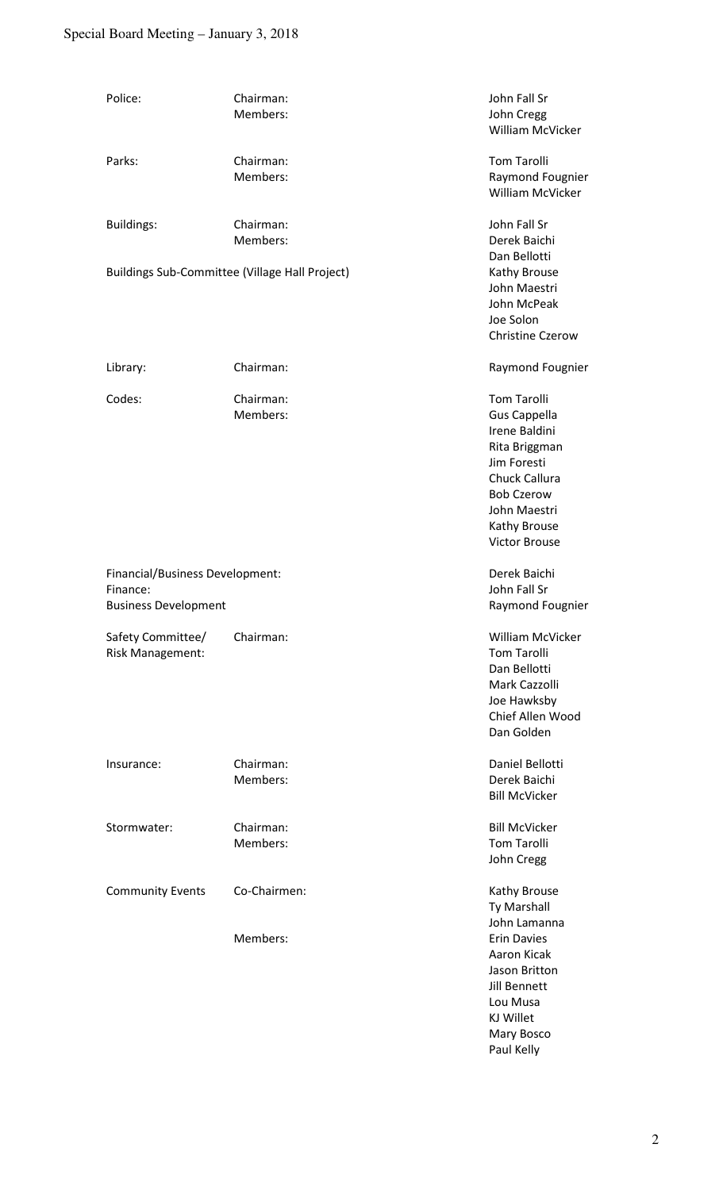# Special Board Meeting – January 3, 2018

| Police:                                                                    | Chairman:<br>Members:                          | John Fall Sr<br>John Cregg<br>William McVicker                                                                                                                                           |
|----------------------------------------------------------------------------|------------------------------------------------|------------------------------------------------------------------------------------------------------------------------------------------------------------------------------------------|
| Parks:                                                                     | Chairman:<br>Members:                          | <b>Tom Tarolli</b><br>Raymond Fougnier<br>William McVicker                                                                                                                               |
| <b>Buildings:</b>                                                          | Chairman:<br>Members:                          | John Fall Sr<br>Derek Baichi<br>Dan Bellotti                                                                                                                                             |
|                                                                            | Buildings Sub-Committee (Village Hall Project) | Kathy Brouse<br>John Maestri<br>John McPeak<br>Joe Solon<br><b>Christine Czerow</b>                                                                                                      |
| Library:                                                                   | Chairman:                                      | Raymond Fougnier                                                                                                                                                                         |
| Codes:                                                                     | Chairman:<br>Members:                          | <b>Tom Tarolli</b><br><b>Gus Cappella</b><br>Irene Baldini<br>Rita Briggman<br>Jim Foresti<br>Chuck Callura<br><b>Bob Czerow</b><br>John Maestri<br>Kathy Brouse<br><b>Victor Brouse</b> |
| Financial/Business Development:<br>Finance:<br><b>Business Development</b> |                                                | Derek Baichi<br>John Fall Sr<br>Raymond Fougnier                                                                                                                                         |
| Safety Committee/<br>Risk Management:                                      | Chairman:                                      | William McVicker<br><b>Tom Tarolli</b><br>Dan Bellotti<br>Mark Cazzolli<br>Joe Hawksby<br>Chief Allen Wood<br>Dan Golden                                                                 |
| Insurance:                                                                 | Chairman:<br>Members:                          | Daniel Bellotti<br>Derek Baichi<br><b>Bill McVicker</b>                                                                                                                                  |
| Stormwater:                                                                | Chairman:<br>Members:                          | <b>Bill McVicker</b><br><b>Tom Tarolli</b><br>John Cregg                                                                                                                                 |
| <b>Community Events</b>                                                    | Co-Chairmen:                                   | Kathy Brouse<br>Ty Marshall<br>John Lamanna                                                                                                                                              |
|                                                                            | Members:                                       | <b>Erin Davies</b><br>Aaron Kicak<br>Jason Britton<br>Jill Bennett<br>Lou Musa<br><b>KJ Willet</b><br>Mary Bosco<br>Paul Kelly                                                           |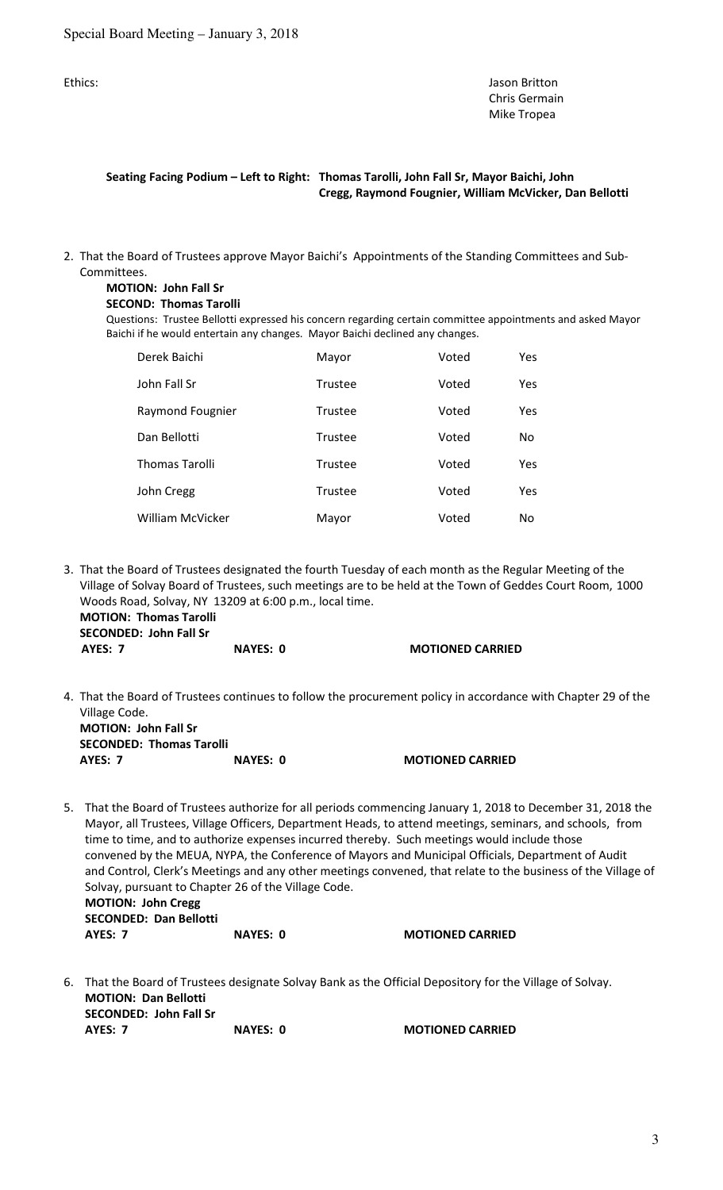Ethics: Jason Britton Christian Annual Christian Annual Christian Annual Christian Annual Christian Annual Christian Annual Christian Annual Christian Annual Christian Annual Christian Annual Christian Annual Christian Ann Chris Germain Mike Tropea

## **Seating Facing Podium – Left to Right: Thomas Tarolli, John Fall Sr, Mayor Baichi, John Cregg, Raymond Fougnier, William McVicker, Dan Bellotti**

2. That the Board of Trustees approve Mayor Baichi's Appointments of the Standing Committees and Sub- Committees.

## **MOTION: John Fall Sr**

### **SECOND: Thomas Tarolli**

Questions: Trustee Bellotti expressed his concern regarding certain committee appointments and asked Mayor Baichi if he would entertain any changes. Mayor Baichi declined any changes.

| Derek Baichi            | Mayor          | Voted | Yes |
|-------------------------|----------------|-------|-----|
| John Fall Sr            | <b>Trustee</b> | Voted | Yes |
| Raymond Fougnier        | Trustee        | Voted | Yes |
| Dan Bellotti            | <b>Trustee</b> | Voted | No  |
| <b>Thomas Tarolli</b>   | <b>Trustee</b> | Voted | Yes |
| John Cregg              | <b>Trustee</b> | Voted | Yes |
| <b>William McVicker</b> | Mayor          | Voted | No  |

3. That the Board of Trustees designated the fourth Tuesday of each month as the Regular Meeting of the Village of Solvay Board of Trustees, such meetings are to be held at the Town of Geddes Court Room, 1000 Woods Road, Solvay, NY 13209 at 6:00 p.m., local time.

 **MOTION: Thomas Tarolli SECONDED: John Fall Sr AYES: 7 NAYES: 0 MOTIONED CARRIED** 

4. That the Board of Trustees continues to follow the procurement policy in accordance with Chapter 29 of the Village Code.  **MOTION: John Fall Sr SECONDED: Thomas Tarolli** 

**AYES: 7 NAYES: 0 MOTIONED CARRIED** 

5. That the Board of Trustees authorize for all periods commencing January 1, 2018 to December 31, 2018 the Mayor, all Trustees, Village Officers, Department Heads, to attend meetings, seminars, and schools, from time to time, and to authorize expenses incurred thereby. Such meetings would include those convened by the MEUA, NYPA, the Conference of Mayors and Municipal Officials, Department of Audit and Control, Clerk's Meetings and any other meetings convened, that relate to the business of the Village of Solvay, pursuant to Chapter 26 of the Village Code. **MOTION: John Cregg SECONDED: Dan Bellotti** 

**AYES: 7** NAYES: 0 MOTIONED CARRIED

6. That the Board of Trustees designate Solvay Bank as the Official Depository for the Village of Solvay.  **MOTION: Dan Bellotti SECONDED: John Fall Sr AYES: 7 NAYES: 0 MOTIONED CARRIED**